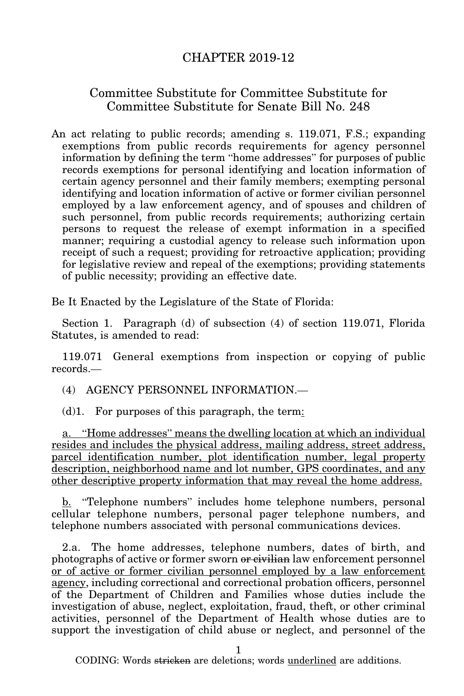## CHAPTER 2019-12

## Committee Substitute for Committee Substitute for Committee Substitute for Senate Bill No. 248

An act relating to public records; amending s. 119.071, F.S.; expanding exemptions from public records requirements for agency personnel information by defining the term "home addresses" for purposes of public records exemptions for personal identifying and location information of certain agency personnel and their family members; exempting personal identifying and location information of active or former civilian personnel employed by a law enforcement agency, and of spouses and children of such personnel, from public records requirements; authorizing certain persons to request the release of exempt information in a specified manner; requiring a custodial agency to release such information upon receipt of such a request; providing for retroactive application; providing for legislative review and repeal of the exemptions; providing statements of public necessity; providing an effective date.

Be It Enacted by the Legislature of the State of Florida:

Section 1. Paragraph (d) of subsection (4) of section 119.071, Florida Statutes, is amended to read:

119.071 General exemptions from inspection or copying of public records.—

(4) AGENCY PERSONNEL INFORMATION.—

 $(d)$ 1. For purposes of this paragraph, the term:

a. "Home addresses" means the dwelling location at which an individual resides and includes the physical address, mailing address, street address, parcel identification number, plot identification number, legal property description, neighborhood name and lot number, GPS coordinates, and any other descriptive property information that may reveal the home address.

b. "Telephone numbers" includes home telephone numbers, personal cellular telephone numbers, personal pager telephone numbers, and telephone numbers associated with personal communications devices.

2.a. The home addresses, telephone numbers, dates of birth, and photographs of active or former sworn or civilian law enforcement personnel or of active or former civilian personnel employed by a law enforcement agency, including correctional and correctional probation officers, personnel of the Department of Children and Families whose duties include the investigation of abuse, neglect, exploitation, fraud, theft, or other criminal activities, personnel of the Department of Health whose duties are to support the investigation of child abuse or neglect, and personnel of the

1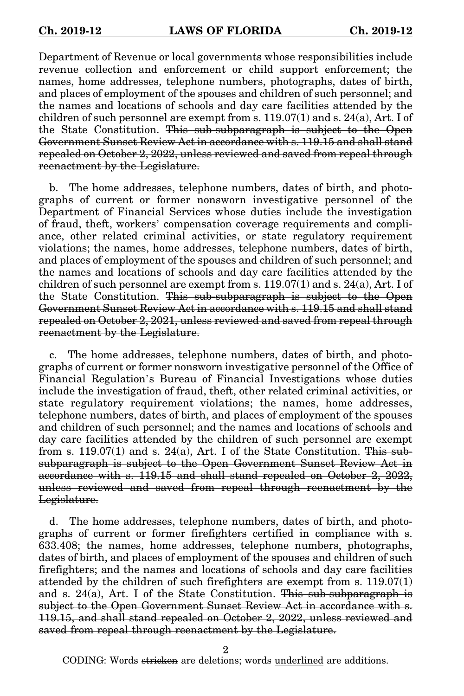Department of Revenue or local governments whose responsibilities include revenue collection and enforcement or child support enforcement; the names, home addresses, telephone numbers, photographs, dates of birth, and places of employment of the spouses and children of such personnel; and the names and locations of schools and day care facilities attended by the children of such personnel are exempt from s.  $119.07(1)$  and s.  $24(a)$ , Art. I of the State Constitution. This sub-subparagraph is subject to the Open Government Sunset Review Act in accordance with s. 119.15 and shall stand repealed on October 2, 2022, unless reviewed and saved from repeal through reenactment by the Legislature.

b. The home addresses, telephone numbers, dates of birth, and photographs of current or former nonsworn investigative personnel of the Department of Financial Services whose duties include the investigation of fraud, theft, workers' compensation coverage requirements and compliance, other related criminal activities, or state regulatory requirement violations; the names, home addresses, telephone numbers, dates of birth, and places of employment of the spouses and children of such personnel; and the names and locations of schools and day care facilities attended by the children of such personnel are exempt from s.  $119.07(1)$  and s.  $24(a)$ , Art. I of the State Constitution. This sub-subparagraph is subject to the Open Government Sunset Review Act in accordance with s. 119.15 and shall stand repealed on October 2, 2021, unless reviewed and saved from repeal through reenactment by the Legislature.

c. The home addresses, telephone numbers, dates of birth, and photographs of current or former nonsworn investigative personnel of the Office of Financial Regulation's Bureau of Financial Investigations whose duties include the investigation of fraud, theft, other related criminal activities, or state regulatory requirement violations; the names, home addresses, telephone numbers, dates of birth, and places of employment of the spouses and children of such personnel; and the names and locations of schools and day care facilities attended by the children of such personnel are exempt from s. 119.07(1) and s. 24(a), Art. I of the State Constitution. This subsubparagraph is subject to the Open Government Sunset Review Act in accordance with s. 119.15 and shall stand repealed on October 2, 2022, unless reviewed and saved from repeal through reenactment by the Legislature.

d. The home addresses, telephone numbers, dates of birth, and photographs of current or former firefighters certified in compliance with s. 633.408; the names, home addresses, telephone numbers, photographs, dates of birth, and places of employment of the spouses and children of such firefighters; and the names and locations of schools and day care facilities attended by the children of such firefighters are exempt from s. 119.07(1) and s.  $24(a)$ , Art. I of the State Constitution. This sub-subparagraph is subject to the Open Government Sunset Review Act in accordance with s. 119.15, and shall stand repealed on October 2, 2022, unless reviewed and saved from repeal through reenactment by the Legislature.

2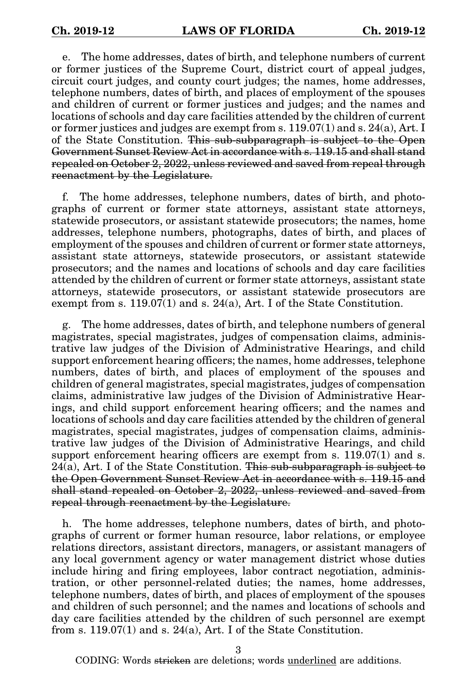e. The home addresses, dates of birth, and telephone numbers of current or former justices of the Supreme Court, district court of appeal judges, circuit court judges, and county court judges; the names, home addresses, telephone numbers, dates of birth, and places of employment of the spouses and children of current or former justices and judges; and the names and locations of schools and day care facilities attended by the children of current or former justices and judges are exempt from s. 119.07(1) and s. 24(a), Art. I of the State Constitution. This sub-subparagraph is subject to the Open Government Sunset Review Act in accordance with s. 119.15 and shall stand repealed on October 2, 2022, unless reviewed and saved from repeal through reenactment by the Legislature.

f. The home addresses, telephone numbers, dates of birth, and photographs of current or former state attorneys, assistant state attorneys, statewide prosecutors, or assistant statewide prosecutors; the names, home addresses, telephone numbers, photographs, dates of birth, and places of employment of the spouses and children of current or former state attorneys, assistant state attorneys, statewide prosecutors, or assistant statewide prosecutors; and the names and locations of schools and day care facilities attended by the children of current or former state attorneys, assistant state attorneys, statewide prosecutors, or assistant statewide prosecutors are exempt from s. 119.07(1) and s. 24(a), Art. I of the State Constitution.

g. The home addresses, dates of birth, and telephone numbers of general magistrates, special magistrates, judges of compensation claims, administrative law judges of the Division of Administrative Hearings, and child support enforcement hearing officers; the names, home addresses, telephone numbers, dates of birth, and places of employment of the spouses and children of general magistrates, special magistrates, judges of compensation claims, administrative law judges of the Division of Administrative Hearings, and child support enforcement hearing officers; and the names and locations of schools and day care facilities attended by the children of general magistrates, special magistrates, judges of compensation claims, administrative law judges of the Division of Administrative Hearings, and child support enforcement hearing officers are exempt from s. 119.07(1) and s.  $24(a)$ , Art. I of the State Constitution. This sub-subparagraph is subject to the Open Government Sunset Review Act in accordance with s. 119.15 and shall stand repealed on October 2, 2022, unless reviewed and saved from repeal through reenactment by the Legislature.

h. The home addresses, telephone numbers, dates of birth, and photographs of current or former human resource, labor relations, or employee relations directors, assistant directors, managers, or assistant managers of any local government agency or water management district whose duties include hiring and firing employees, labor contract negotiation, administration, or other personnel-related duties; the names, home addresses, telephone numbers, dates of birth, and places of employment of the spouses and children of such personnel; and the names and locations of schools and day care facilities attended by the children of such personnel are exempt from s. 119.07(1) and s. 24(a), Art. I of the State Constitution.

3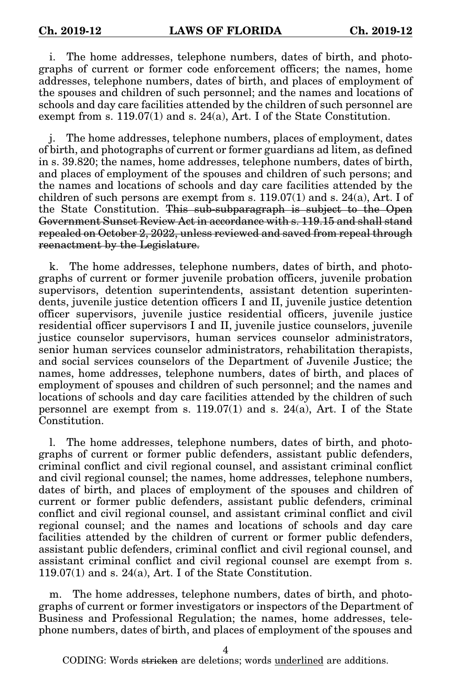i. The home addresses, telephone numbers, dates of birth, and photographs of current or former code enforcement officers; the names, home addresses, telephone numbers, dates of birth, and places of employment of the spouses and children of such personnel; and the names and locations of schools and day care facilities attended by the children of such personnel are exempt from s.  $119.07(1)$  and s.  $24(a)$ , Art. I of the State Constitution.

The home addresses, telephone numbers, places of employment, dates of birth, and photographs of current or former guardians ad litem, as defined in s. 39.820; the names, home addresses, telephone numbers, dates of birth, and places of employment of the spouses and children of such persons; and the names and locations of schools and day care facilities attended by the children of such persons are exempt from s.  $119.07(1)$  and s.  $24(a)$ , Art. I of the State Constitution. This sub-subparagraph is subject to the Open Government Sunset Review Act in accordance with s. 119.15 and shall stand repealed on October 2, 2022, unless reviewed and saved from repeal through reenactment by the Legislature.

k. The home addresses, telephone numbers, dates of birth, and photographs of current or former juvenile probation officers, juvenile probation supervisors, detention superintendents, assistant detention superintendents, juvenile justice detention officers I and II, juvenile justice detention officer supervisors, juvenile justice residential officers, juvenile justice residential officer supervisors I and II, juvenile justice counselors, juvenile justice counselor supervisors, human services counselor administrators, senior human services counselor administrators, rehabilitation therapists, and social services counselors of the Department of Juvenile Justice; the names, home addresses, telephone numbers, dates of birth, and places of employment of spouses and children of such personnel; and the names and locations of schools and day care facilities attended by the children of such personnel are exempt from s.  $119.07(1)$  and s.  $24(a)$ , Art. I of the State Constitution.

The home addresses, telephone numbers, dates of birth, and photographs of current or former public defenders, assistant public defenders, criminal conflict and civil regional counsel, and assistant criminal conflict and civil regional counsel; the names, home addresses, telephone numbers, dates of birth, and places of employment of the spouses and children of current or former public defenders, assistant public defenders, criminal conflict and civil regional counsel, and assistant criminal conflict and civil regional counsel; and the names and locations of schools and day care facilities attended by the children of current or former public defenders, assistant public defenders, criminal conflict and civil regional counsel, and assistant criminal conflict and civil regional counsel are exempt from s. 119.07(1) and s. 24(a), Art. I of the State Constitution.

m. The home addresses, telephone numbers, dates of birth, and photographs of current or former investigators or inspectors of the Department of Business and Professional Regulation; the names, home addresses, telephone numbers, dates of birth, and places of employment of the spouses and

4

CODING: Words <del>stricken</del> are deletions; words <u>underlined</u> are additions.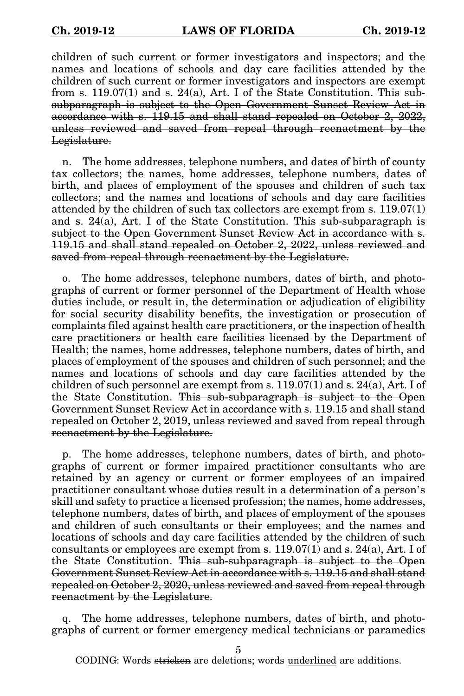children of such current or former investigators and inspectors; and the names and locations of schools and day care facilities attended by the children of such current or former investigators and inspectors are exempt from s. 119.07(1) and s. 24(a), Art. I of the State Constitution. This subsubparagraph is subject to the Open Government Sunset Review Act in accordance with s. 119.15 and shall stand repealed on October 2, 2022, unless reviewed and saved from repeal through reenactment by the Legislature.

n. The home addresses, telephone numbers, and dates of birth of county tax collectors; the names, home addresses, telephone numbers, dates of birth, and places of employment of the spouses and children of such tax collectors; and the names and locations of schools and day care facilities attended by the children of such tax collectors are exempt from s. 119.07(1) and s. 24(a), Art. I of the State Constitution. This sub-subparagraph is subject to the Open Government Sunset Review Act in accordance with s. 119.15 and shall stand repealed on October 2, 2022, unless reviewed and saved from repeal through reenactment by the Legislature.

o. The home addresses, telephone numbers, dates of birth, and photographs of current or former personnel of the Department of Health whose duties include, or result in, the determination or adjudication of eligibility for social security disability benefits, the investigation or prosecution of complaints filed against health care practitioners, or the inspection of health care practitioners or health care facilities licensed by the Department of Health; the names, home addresses, telephone numbers, dates of birth, and places of employment of the spouses and children of such personnel; and the names and locations of schools and day care facilities attended by the children of such personnel are exempt from s.  $119.07(1)$  and s.  $24(a)$ , Art. I of the State Constitution. This sub-subparagraph is subject to the Open Government Sunset Review Act in accordance with s. 119.15 and shall stand repealed on October 2, 2019, unless reviewed and saved from repeal through reenactment by the Legislature.

p. The home addresses, telephone numbers, dates of birth, and photographs of current or former impaired practitioner consultants who are retained by an agency or current or former employees of an impaired practitioner consultant whose duties result in a determination of a person's skill and safety to practice a licensed profession; the names, home addresses, telephone numbers, dates of birth, and places of employment of the spouses and children of such consultants or their employees; and the names and locations of schools and day care facilities attended by the children of such consultants or employees are exempt from s. 119.07(1) and s. 24(a), Art. I of the State Constitution. This sub-subparagraph is subject to the Open Government Sunset Review Act in accordance with s. 119.15 and shall stand repealed on October 2, 2020, unless reviewed and saved from repeal through reenactment by the Legislature.

The home addresses, telephone numbers, dates of birth, and photographs of current or former emergency medical technicians or paramedics

5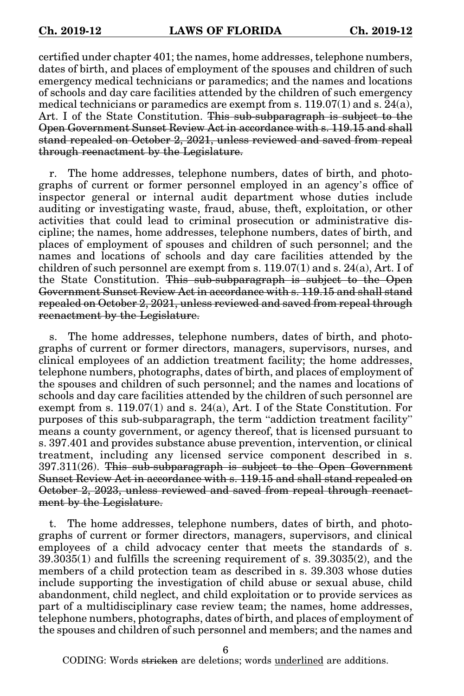certified under chapter 401; the names, home addresses, telephone numbers, dates of birth, and places of employment of the spouses and children of such emergency medical technicians or paramedics; and the names and locations of schools and day care facilities attended by the children of such emergency medical technicians or paramedics are exempt from s.  $119.07(1)$  and s.  $24(a)$ , Art. I of the State Constitution. This sub-subparagraph is subject to the Open Government Sunset Review Act in accordance with s. 119.15 and shall stand repealed on October 2, 2021, unless reviewed and saved from repeal through reenactment by the Legislature.

r. The home addresses, telephone numbers, dates of birth, and photographs of current or former personnel employed in an agency's office of inspector general or internal audit department whose duties include auditing or investigating waste, fraud, abuse, theft, exploitation, or other activities that could lead to criminal prosecution or administrative discipline; the names, home addresses, telephone numbers, dates of birth, and places of employment of spouses and children of such personnel; and the names and locations of schools and day care facilities attended by the children of such personnel are exempt from s.  $119.07(1)$  and s.  $24(a)$ , Art. I of the State Constitution. This sub-subparagraph is subject to the Open Government Sunset Review Act in accordance with s. 119.15 and shall stand repealed on October 2, 2021, unless reviewed and saved from repeal through reenactment by the Legislature.

s. The home addresses, telephone numbers, dates of birth, and photographs of current or former directors, managers, supervisors, nurses, and clinical employees of an addiction treatment facility; the home addresses, telephone numbers, photographs, dates of birth, and places of employment of the spouses and children of such personnel; and the names and locations of schools and day care facilities attended by the children of such personnel are exempt from s. 119.07(1) and s. 24(a), Art. I of the State Constitution. For purposes of this sub-subparagraph, the term "addiction treatment facility" means a county government, or agency thereof, that is licensed pursuant to s. 397.401 and provides substance abuse prevention, intervention, or clinical treatment, including any licensed service component described in s. 397.311(26). This sub-subparagraph is subject to the Open Government Sunset Review Act in accordance with s. 119.15 and shall stand repealed on October 2, 2023, unless reviewed and saved from repeal through reenactment by the Legislature.

t. The home addresses, telephone numbers, dates of birth, and photographs of current or former directors, managers, supervisors, and clinical employees of a child advocacy center that meets the standards of s. 39.3035(1) and fulfills the screening requirement of s. 39.3035(2), and the members of a child protection team as described in s. 39.303 whose duties include supporting the investigation of child abuse or sexual abuse, child abandonment, child neglect, and child exploitation or to provide services as part of a multidisciplinary case review team; the names, home addresses, telephone numbers, photographs, dates of birth, and places of employment of the spouses and children of such personnel and members; and the names and

6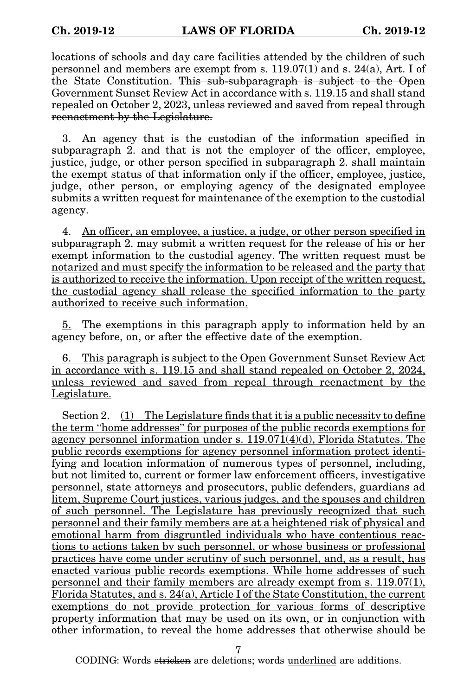locations of schools and day care facilities attended by the children of such personnel and members are exempt from s. 119.07(1) and s. 24(a), Art. I of the State Constitution. This sub-subparagraph is subject to the Open Government Sunset Review Act in accordance with s. 119.15 and shall stand repealed on October 2, 2023, unless reviewed and saved from repeal through reenactment by the Legislature.

3. An agency that is the custodian of the information specified in subparagraph 2. and that is not the employer of the officer, employee, justice, judge, or other person specified in subparagraph 2. shall maintain the exempt status of that information only if the officer, employee, justice, judge, other person, or employing agency of the designated employee submits a written request for maintenance of the exemption to the custodial agency.

4. An officer, an employee, a justice, a judge, or other person specified in subparagraph 2. may submit a written request for the release of his or her exempt information to the custodial agency. The written request must be notarized and must specify the information to be released and the party that is authorized to receive the information. Upon receipt of the written request, the custodial agency shall release the specified information to the party authorized to receive such information.

5. The exemptions in this paragraph apply to information held by an agency before, on, or after the effective date of the exemption.

6. This paragraph is subject to the Open Government Sunset Review Act in accordance with s. 119.15 and shall stand repealed on October 2, 2024, unless reviewed and saved from repeal through reenactment by the Legislature.

Section 2. (1) The Legislature finds that it is a public necessity to define the term "home addresses" for purposes of the public records exemptions for agency personnel information under s.  $119.071(4)(d)$ , Florida Statutes. The public records exemptions for agency personnel information protect identifying and location information of numerous types of personnel, including, but not limited to, current or former law enforcement officers, investigative personnel, state attorneys and prosecutors, public defenders, guardians ad litem, Supreme Court justices, various judges, and the spouses and children of such personnel. The Legislature has previously recognized that such personnel and their family members are at a heightened risk of physical and emotional harm from disgruntled individuals who have contentious reactions to actions taken by such personnel, or whose business or professional practices have come under scrutiny of such personnel, and, as a result, has enacted various public records exemptions. While home addresses of such personnel and their family members are already exempt from s. 119.07(1), Florida Statutes, and s. 24(a), Article I of the State Constitution, the current exemptions do not provide protection for various forms of descriptive property information that may be used on its own, or in conjunction with other information, to reveal the home addresses that otherwise should be

7